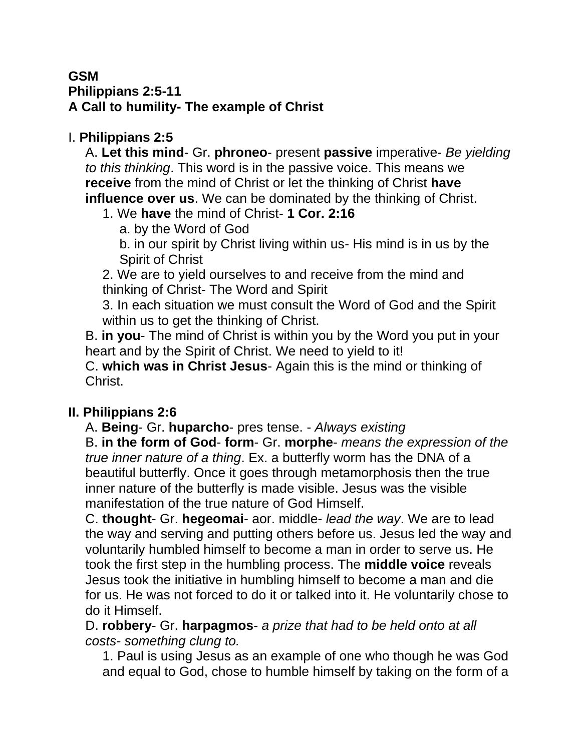#### **GSM Philippians 2:5-11 A Call to humility- The example of Christ**

### I. **Philippians 2:5**

A. **Let this mind**- Gr. **phroneo**- present **passive** imperative- *Be yielding to this thinking*. This word is in the passive voice. This means we **receive** from the mind of Christ or let the thinking of Christ **have influence over us**. We can be dominated by the thinking of Christ.

- 1. We **have** the mind of Christ- **1 Cor. 2:16**
	- a. by the Word of God

b. in our spirit by Christ living within us- His mind is in us by the Spirit of Christ

2. We are to yield ourselves to and receive from the mind and thinking of Christ- The Word and Spirit

3. In each situation we must consult the Word of God and the Spirit within us to get the thinking of Christ.

B. **in you**- The mind of Christ is within you by the Word you put in your heart and by the Spirit of Christ. We need to yield to it!

C. **which was in Christ Jesus**- Again this is the mind or thinking of Christ.

# **II. Philippians 2:6**

A. **Being**- Gr. **huparcho**- pres tense. - *Always existing* 

B. **in the form of God**- **form**- Gr. **morphe**- *means the expression of the true inner nature of a thing*. Ex. a butterfly worm has the DNA of a beautiful butterfly. Once it goes through metamorphosis then the true inner nature of the butterfly is made visible. Jesus was the visible manifestation of the true nature of God Himself.

C. **thought**- Gr. **hegeomai**- aor. middle- *lead the way*. We are to lead the way and serving and putting others before us. Jesus led the way and voluntarily humbled himself to become a man in order to serve us. He took the first step in the humbling process. The **middle voice** reveals Jesus took the initiative in humbling himself to become a man and die for us. He was not forced to do it or talked into it. He voluntarily chose to do it Himself.

D. **robbery**- Gr. **harpagmos**- *a prize that had to be held onto at all costs- something clung to.* 

1. Paul is using Jesus as an example of one who though he was God and equal to God, chose to humble himself by taking on the form of a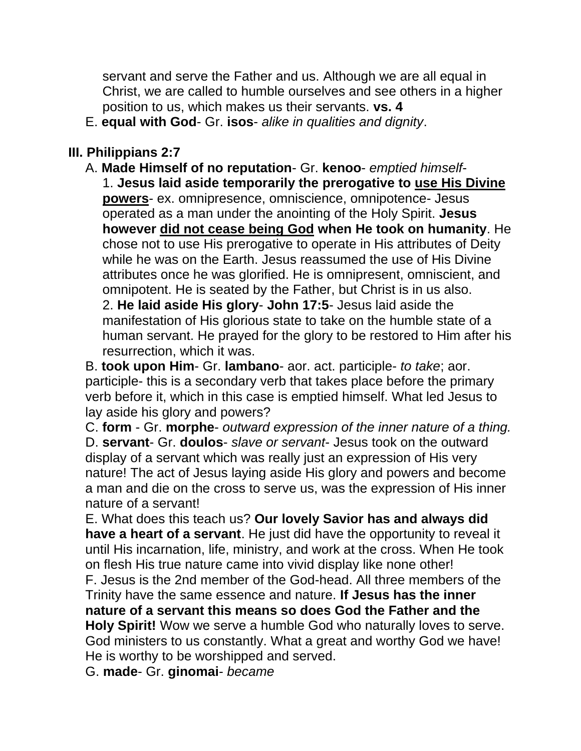servant and serve the Father and us. Although we are all equal in Christ, we are called to humble ourselves and see others in a higher position to us, which makes us their servants. **vs. 4**

E. **equal with God**- Gr. **isos**- *alike in qualities and dignity*.

#### **III. Philippians 2:7**

A. **Made Himself of no reputation**- Gr. **kenoo**- *emptied himself*-1. **Jesus laid aside temporarily the prerogative to use His Divine powers**- ex. omnipresence, omniscience, omnipotence- Jesus operated as a man under the anointing of the Holy Spirit. **Jesus however did not cease being God when He took on humanity**. He chose not to use His prerogative to operate in His attributes of Deity while he was on the Earth. Jesus reassumed the use of His Divine attributes once he was glorified. He is omnipresent, omniscient, and omnipotent. He is seated by the Father, but Christ is in us also. 2. **He laid aside His glory**- **John 17:5**- Jesus laid aside the manifestation of His glorious state to take on the humble state of a human servant. He prayed for the glory to be restored to Him after his resurrection, which it was.

B. **took upon Him**- Gr. **lambano**- aor. act. participle- *to take*; aor. participle- this is a secondary verb that takes place before the primary verb before it, which in this case is emptied himself. What led Jesus to lay aside his glory and powers?

C. **form** - Gr. **morphe**- *outward expression of the inner nature of a thing.*  D. **servant**- Gr. **doulos**- *slave or servant*- Jesus took on the outward display of a servant which was really just an expression of His very nature! The act of Jesus laying aside His glory and powers and become a man and die on the cross to serve us, was the expression of His inner nature of a servant!

E. What does this teach us? **Our lovely Savior has and always did have a heart of a servant**. He just did have the opportunity to reveal it until His incarnation, life, ministry, and work at the cross. When He took on flesh His true nature came into vivid display like none other!

F. Jesus is the 2nd member of the God-head. All three members of the Trinity have the same essence and nature. **If Jesus has the inner nature of a servant this means so does God the Father and the Holy Spirit!** Wow we serve a humble God who naturally loves to serve. God ministers to us constantly. What a great and worthy God we have!

He is worthy to be worshipped and served.

G. **made**- Gr. **ginomai**- *became*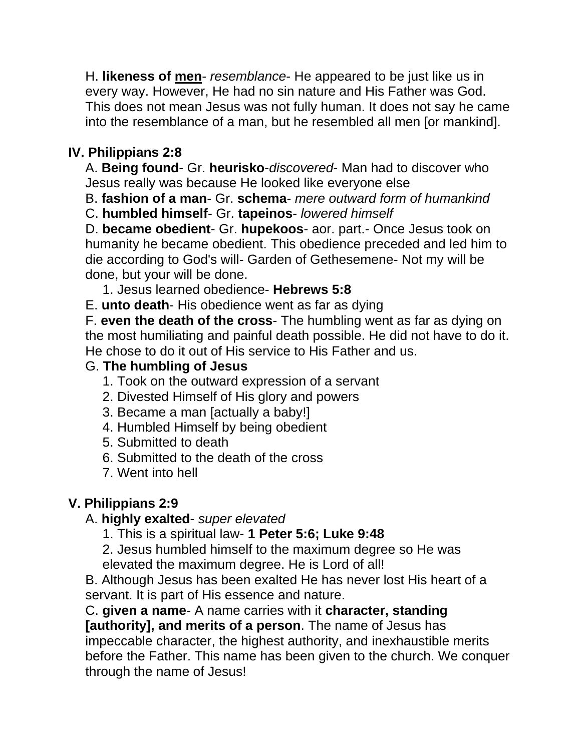H. **likeness of men**- *resemblance*- He appeared to be just like us in every way. However, He had no sin nature and His Father was God. This does not mean Jesus was not fully human. It does not say he came into the resemblance of a man, but he resembled all men [or mankind].

# **IV. Philippians 2:8**

A. **Being found**- Gr. **heurisko**-*discovered*- Man had to discover who Jesus really was because He looked like everyone else

B. **fashion of a man**- Gr. **schema**- *mere outward form of humankind*

C. **humbled himself**- Gr. **tapeinos**- *lowered himself*

D. **became obedient**- Gr. **hupekoos**- aor. part.- Once Jesus took on humanity he became obedient. This obedience preceded and led him to die according to God's will- Garden of Gethesemene- Not my will be done, but your will be done.

1. Jesus learned obedience- **Hebrews 5:8**

E. **unto death**- His obedience went as far as dying

F. **even the death of the cross**- The humbling went as far as dying on the most humiliating and painful death possible. He did not have to do it. He chose to do it out of His service to His Father and us.

#### G. **The humbling of Jesus**

- 1. Took on the outward expression of a servant
- 2. Divested Himself of His glory and powers
- 3. Became a man [actually a baby!]
- 4. Humbled Himself by being obedient
- 5. Submitted to death
- 6. Submitted to the death of the cross
- 7. Went into hell

### **V. Philippians 2:9**

### A. **highly exalted**- *super elevated*

1. This is a spiritual law- **1 Peter 5:6; Luke 9:48**

2. Jesus humbled himself to the maximum degree so He was elevated the maximum degree. He is Lord of all!

B. Although Jesus has been exalted He has never lost His heart of a servant. It is part of His essence and nature.

C. **given a name**- A name carries with it **character, standing** 

**[authority], and merits of a person**. The name of Jesus has impeccable character, the highest authority, and inexhaustible merits before the Father. This name has been given to the church. We conquer through the name of Jesus!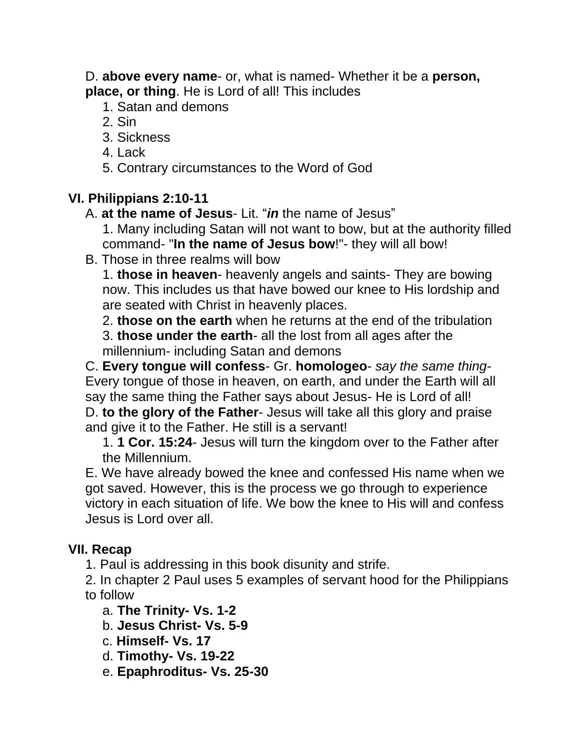D. **above every name**- or, what is named- Whether it be a **person, place, or thing**. He is Lord of all! This includes

- 1. Satan and demons
- 2. Sin
- 3. Sickness
- 4. Lack
- 5. Contrary circumstances to the Word of God

## **VI. Philippians 2:10-11**

- A. **at the name of Jesus** Lit. "*in* the name of Jesus"
	- 1. Many including Satan will not want to bow, but at the authority filled command- "**In the name of Jesus bow**!"- they will all bow!
- B. Those in three realms will bow

1. **those in heaven**- heavenly angels and saints- They are bowing now. This includes us that have bowed our knee to His lordship and are seated with Christ in heavenly places.

2. **those on the earth** when he returns at the end of the tribulation

3. **those under the earth**- all the lost from all ages after the millennium- including Satan and demons

C. **Every tongue will confess**- Gr. **homologeo**- *say the same thing*-Every tongue of those in heaven, on earth, and under the Earth will all say the same thing the Father says about Jesus- He is Lord of all!

D. **to the glory of the Father**- Jesus will take all this glory and praise and give it to the Father. He still is a servant!

1. **1 Cor. 15:24**- Jesus will turn the kingdom over to the Father after the Millennium.

E. We have already bowed the knee and confessed His name when we got saved. However, this is the process we go through to experience victory in each situation of life. We bow the knee to His will and confess Jesus is Lord over all.

# **VII. Recap**

1. Paul is addressing in this book disunity and strife.

2. In chapter 2 Paul uses 5 examples of servant hood for the Philippians to follow

- a. **The Trinity- Vs. 1-2**
- b. **Jesus Christ- Vs. 5-9**
- c. **Himself- Vs. 17**
- d. **Timothy- Vs. 19-22**
- e. **Epaphroditus- Vs. 25-30**